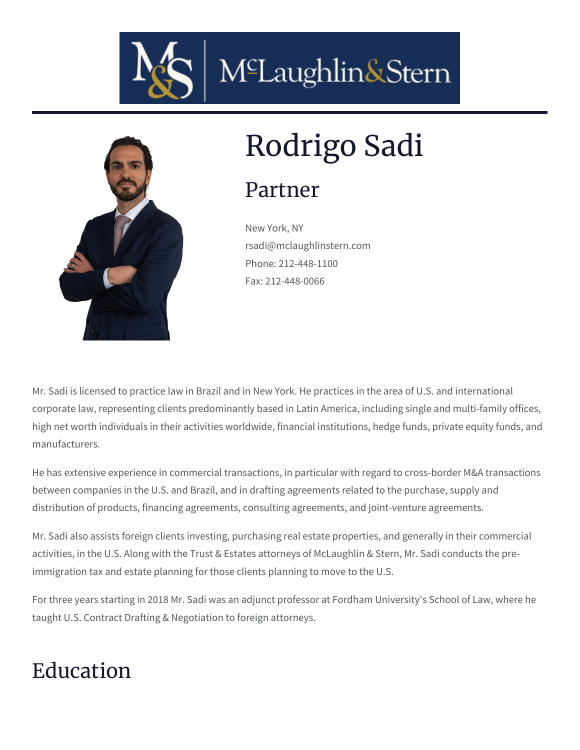



# Rodrigo Sadi

#### Partner

New York, NY rsadi@mclaughlinstern.com Phone: 212-448-1100 Fax: 212-448-0066

Mr. Sadi is licensed to practice law in Brazil and in New York. He practices in the area of U.S. and international corporate law, representing clients predominantly based in Latin America, including single and multi-family offices, high net worth individuals in their activities worldwide, financial institutions, hedge funds, private equity funds, and manufacturers.

He has extensive experience in commercial transactions, in particular with regard to cross-border M&A transactions between companies in the U.S. and Brazil, and in drafting agreements related to the purchase, supply and distribution of products, financing agreements, consulting agreements, and joint-venture agreements.

Mr. Sadi also assists foreign clients investing, purchasing real estate properties, and generally in their commercial activities, in the U.S. Along with the Trust & Estates attorneys of McLaughlin & Stern, Mr. Sadi conducts the preimmigration tax and estate planning for those clients planning to move to the U.S.

For three years starting in 2018 Mr. Sadi was an adjunct professor at Fordham University's School of Law, where he taught U.S. Contract Drafting & Negotiation to foreign attorneys.

## Education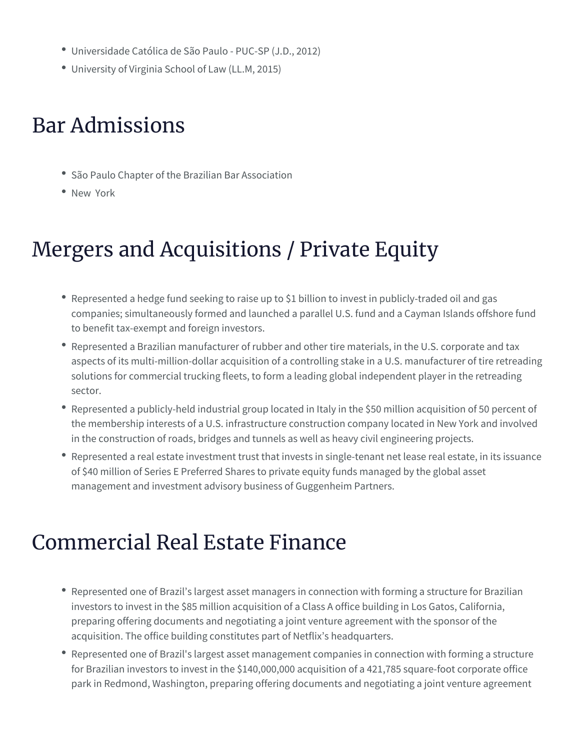- Universidade Católica de São Paulo PUC-SP (J.D., 2012)
- University of Virginia School of Law (LL.M, 2015)

### Bar Admissions

- São Paulo Chapter of the Brazilian Bar Association
- New York

## Mergers and Acquisitions / Private Equity

- Represented a hedge fund seeking to raise up to \$1 billion to invest in publicly-traded oil and gas companies; simultaneously formed and launched a parallel U.S. fund and a Cayman Islands offshore fund to benefit tax-exempt and foreign investors.
- Represented a Brazilian manufacturer of rubber and other tire materials, in the U.S. corporate and tax aspects of its multi-million-dollar acquisition of a controlling stake in a U.S. manufacturer of tire retreading solutions for commercial trucking fleets, to form a leading global independent player in the retreading sector.
- Represented a publicly-held industrial group located in Italy in the \$50 million acquisition of 50 percent of the membership interests of a U.S. infrastructure construction company located in New York and involved in the construction of roads, bridges and tunnels as well as heavy civil engineering projects.
- Represented a real estate investment trust that invests in single-tenant net lease real estate, in its issuance of \$40 million of Series E Preferred Shares to private equity funds managed by the global asset management and investment advisory business of Guggenheim Partners.

### Commercial Real Estate Finance

- Represented one of Brazil's largest asset managers in connection with forming a structure for Brazilian investors to invest in the \$85 million acquisition of a Class A office building in Los Gatos, California, preparing offering documents and negotiating a joint venture agreement with the sponsor of the acquisition. The office building constitutes part of Netflix's headquarters.
- Represented one of Brazil's largest asset management companies in connection with forming a structure for Brazilian investors to invest in the \$140,000,000 acquisition of a 421,785 square-foot corporate office park in Redmond, Washington, preparing offering documents and negotiating a joint venture agreement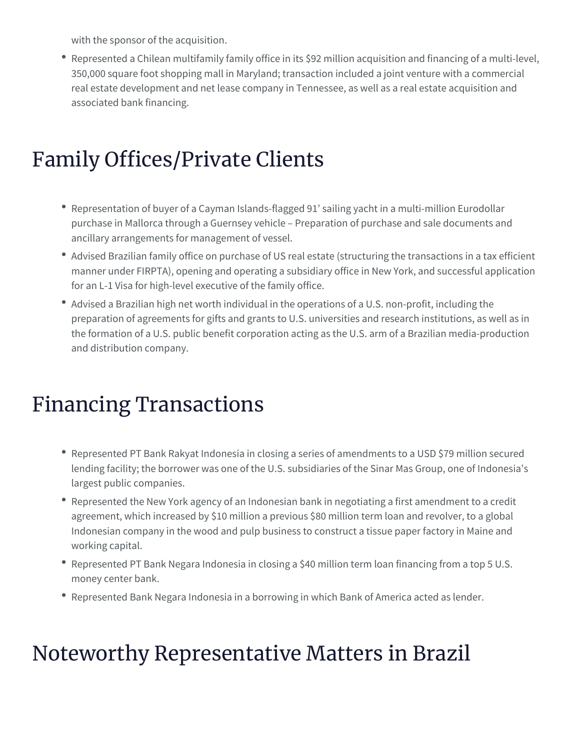with the sponsor of the acquisition.

• Represented a Chilean multifamily family office in its \$92 million acquisition and financing of a multi-level, 350,000 square foot shopping mall in Maryland; transaction included a joint venture with a commercial real estate development and net lease company in Tennessee, as well as a real estate acquisition and associated bank financing.

#### Family Offices/Private Clients

- Representation of buyer of a Cayman Islands-flagged 91' sailing yacht in a multi-million Eurodollar purchase in Mallorca through a Guernsey vehicle – Preparation of purchase and sale documents and ancillary arrangements for management of vessel.
- Advised Brazilian family office on purchase of US real estate (structuring the transactions in a tax efficient manner under FIRPTA), opening and operating a subsidiary office in New York, and successful application for an L-1 Visa for high-level executive of the family office.
- Advised a Brazilian high net worth individual in the operations of a U.S. non-profit, including the preparation of agreements for gifts and grants to U.S. universities and research institutions, as well as in the formation of a U.S. public benefit corporation acting as the U.S. arm of a Brazilian media-production and distribution company.

### Financing Transactions

- Represented PT Bank Rakyat Indonesia in closing a series of amendments to a USD \$79 million secured lending facility; the borrower was one of the U.S. subsidiaries of the Sinar Mas Group, one of Indonesia's largest public companies.
- Represented the New York agency of an Indonesian bank in negotiating a first amendment to a credit agreement, which increased by \$10 million a previous \$80 million term loan and revolver, to a global Indonesian company in the wood and pulp business to construct a tissue paper factory in Maine and working capital.
- Represented PT Bank Negara Indonesia in closing a \$40 million term loan financing from a top 5 U.S. money center bank.
- Represented Bank Negara Indonesia in a borrowing in which Bank of America acted as lender.

### Noteworthy Representative Matters in Brazil